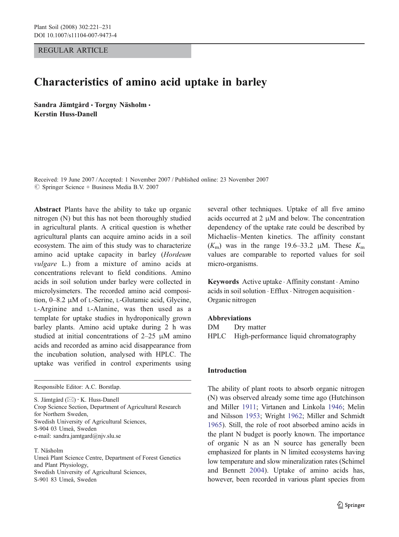REGULAR ARTICLE

# Characteristics of amino acid uptake in barley

Sandra Jämtgård · Torgny Näsholm · Kerstin Huss-Danell

Received: 19 June 2007 /Accepted: 1 November 2007 / Published online: 23 November 2007  $\oslash$  Springer Science + Business Media B.V. 2007

Abstract Plants have the ability to take up organic nitrogen (N) but this has not been thoroughly studied in agricultural plants. A critical question is whether agricultural plants can acquire amino acids in a soil ecosystem. The aim of this study was to characterize amino acid uptake capacity in barley (Hordeum vulgare L.) from a mixture of amino acids at concentrations relevant to field conditions. Amino acids in soil solution under barley were collected in microlysimeters. The recorded amino acid composition, 0–8.2 μM of L-Serine, L-Glutamic acid, Glycine, L-Arginine and L-Alanine, was then used as a template for uptake studies in hydroponically grown barley plants. Amino acid uptake during 2 h was studied at initial concentrations of 2–25 μM amino acids and recorded as amino acid disappearance from the incubation solution, analysed with HPLC. The uptake was verified in control experiments using

Responsible Editor: A.C. Borstlap.

S. Jämtgård (*\**) : K. Huss-Danell Crop Science Section, Department of Agricultural Research for Northern Sweden, Swedish University of Agricultural Sciences, S-904 03 Umeå, Sweden e-mail: sandra.jamtgard@njv.slu.se

T. Näsholm

Umeå Plant Science Centre, Department of Forest Genetics and Plant Physiology, Swedish University of Agricultural Sciences, S-901 83 Umeå, Sweden

several other techniques. Uptake of all five amino acids occurred at 2 μM and below. The concentration dependency of the uptake rate could be described by Michaelis–Menten kinetics. The affinity constant  $(K<sub>m</sub>)$  was in the range 19.6–33.2 μM. These  $K<sub>m</sub>$ values are comparable to reported values for soil micro-organisms.

Keywords Active uptake . Affinity constant . Amino acids in soil solution . Efflux . Nitrogen acquisition . Organic nitrogen

# Abbreviations

DM Drv matter HPLC High-performance liquid chromatography

# Introduction

The ability of plant roots to absorb organic nitrogen (N) was observed already some time ago (Hutchinson and Miller [1911](#page-9-0); Virtanen and Linkola [1946](#page-10-0); Melin and Nilsson [1953](#page-10-0); Wright [1962](#page-10-0); Miller and Schmidt [1965](#page-10-0)). Still, the role of root absorbed amino acids in the plant N budget is poorly known. The importance of organic N as an N source has generally been emphasized for plants in N limited ecosystems having low temperature and slow mineralization rates (Schimel and Bennett [2004](#page-10-0)). Uptake of amino acids has, however, been recorded in various plant species from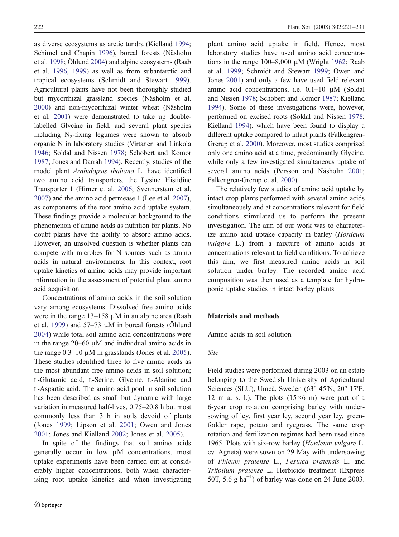as diverse ecosystems as arctic tundra (Kielland [1994](#page-9-0); Schimel and Chapin [1996](#page-10-0)), boreal forests (Näsholm et al. [1998](#page-10-0); Öhlund [2004](#page-10-0)) and alpine ecosystems (Raab et al. [1996](#page-10-0), [1999](#page-10-0)) as well as from subantarctic and tropical ecosystems (Schmidt and Stewart [1999](#page-10-0)). Agricultural plants have not been thoroughly studied but mycorrhizal grassland species (Näsholm et al. [2000](#page-10-0)) and non-mycorrhizal winter wheat (Näsholm et al. [2001](#page-10-0)) were demonstrated to take up doublelabelled Glycine in field, and several plant species including  $N_2$ -fixing legumes were shown to absorb organic N in laboratory studies (Virtanen and Linkola [1946](#page-10-0); Soldal and Nissen [1978](#page-10-0); Schobert and Komor [1987](#page-10-0); Jones and Darrah [1994](#page-9-0)). Recently, studies of the model plant Arabidopsis thaliana L. have identified two amino acid transporters, the Lysine Histidine Transporter 1 (Hirner et al. [2006](#page-9-0); Svennerstam et al. [2007](#page-10-0)) and the amino acid permease 1 (Lee et al. [2007](#page-9-0)), as components of the root amino acid uptake system. These findings provide a molecular background to the phenomenon of amino acids as nutrition for plants. No doubt plants have the ability to absorb amino acids. However, an unsolved question is whether plants can compete with microbes for N sources such as amino acids in natural environments. In this context, root uptake kinetics of amino acids may provide important information in the assessment of potential plant amino acid acquisition.

Concentrations of amino acids in the soil solution vary among ecosystems. Dissolved free amino acids were in the range 13–158 μM in an alpine area (Raab et al. [1999](#page-10-0)) and  $57-73 \mu M$  in boreal forests (Öhlund [2004](#page-10-0)) while total soil amino acid concentrations were in the range 20–60 μM and individual amino acids in the range  $0.3-10 \mu M$  in grasslands (Jones et al. [2005](#page-9-0)). These studies identified three to five amino acids as the most abundant free amino acids in soil solution; L-Glutamic acid, L-Serine, Glycine, L-Alanine and L-Aspartic acid. The amino acid pool in soil solution has been described as small but dynamic with large variation in measured half-lives, 0.75–20.8 h but most commonly less than 3 h in soils devoid of plants (Jones [1999](#page-9-0); Lipson et al. [2001](#page-10-0); Owen and Jones [2001](#page-10-0); Jones and Kielland [2002](#page-9-0); Jones et al. [2005](#page-9-0)).

In spite of the findings that soil amino acids generally occur in low μM concentrations, most uptake experiments have been carried out at considerably higher concentrations, both when characterising root uptake kinetics and when investigating plant amino acid uptake in field. Hence, most laboratory studies have used amino acid concentrations in the range  $100-8,000 \mu M$  (Wright [1962](#page-10-0); Raab et al. [1999](#page-10-0); Schmidt and Stewart [1999](#page-10-0); Owen and Jones [2001](#page-10-0)) and only a few have used field relevant amino acid concentrations, i.e.  $0.1-10 \mu M$  (Soldal and Nissen [1978](#page-10-0); Schobert and Komor [1987](#page-10-0); Kielland [1994](#page-9-0)). Some of these investigations were, however, performed on excised roots (Soldal and Nissen [1978](#page-10-0); Kielland [1994](#page-9-0)), which have been found to display a different uptake compared to intact plants (Falkengren-Grerup et al. [2000](#page-9-0)). Moreover, most studies comprised only one amino acid at a time, predominantly Glycine, while only a few investigated simultaneous uptake of several amino acids (Persson and Näsholm [2001](#page-10-0); Falkengren-Grerup et al. [2000](#page-9-0)).

The relatively few studies of amino acid uptake by intact crop plants performed with several amino acids simultaneously and at concentrations relevant for field conditions stimulated us to perform the present investigation. The aim of our work was to characterize amino acid uptake capacity in barley (Hordeum vulgare L.) from a mixture of amino acids at concentrations relevant to field conditions. To achieve this aim, we first measured amino acids in soil solution under barley. The recorded amino acid composition was then used as a template for hydroponic uptake studies in intact barley plants.

# Materials and methods

Amino acids in soil solution

## Site

Field studies were performed during 2003 on an estate belonging to the Swedish University of Agricultural Sciences (SLU), Umeå, Sweden (63° 45′N, 20° 17′E, 12 m a. s. l.). The plots  $(15\times6$  m) were part of a 6-year crop rotation comprising barley with undersowing of ley, first year ley, second year ley, greenfodder rape, potato and ryegrass. The same crop rotation and fertilization regimes had been used since 1965. Plots with six-row barley (Hordeum vulgare L. cv. Agneta) were sown on 29 May with undersowing of Phleum pratense L., Festuca pratensis L. and Trifolium pratense L. Herbicide treatment (Express 50T, 5.6  $g$  ha<sup>-1</sup>) of barley was done on 24 June 2003.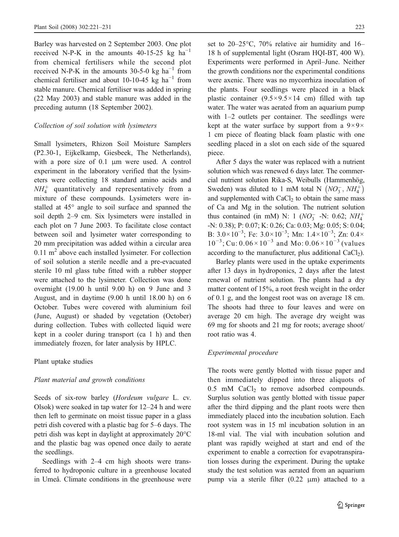Barley was harvested on 2 September 2003. One plot received N-P-K in the amounts 40-15-25 kg  $ha^{-1}$ from chemical fertilisers while the second plot received N-P-K in the amounts 30-5-0 kg  $ha^{-1}$  from chemical fertiliser and about 10-10-45 kg ha<sup>-1</sup> from stable manure. Chemical fertiliser was added in spring (22 May 2003) and stable manure was added in the preceding autumn (18 September 2002).

## Collection of soil solution with lysimeters

Small lysimeters, Rhizon Soil Moisture Samplers (P2.30-1, Eijkelkamp, Giesbeek, The Netherlands), with a pore size of 0.1 μm were used. A control experiment in the laboratory verified that the lysimeters were collecting 18 standard amino acids and  $NH<sub>4</sub><sup>+</sup>$  quantitatively and representatively from a mixture of these compounds. Lysimeters were installed at 45° angle to soil surface and spanned the soil depth 2–9 cm. Six lysimeters were installed in each plot on 7 June 2003. To facilitate close contact between soil and lysimeter water corresponding to 20 mm precipitation was added within a circular area  $0.11 \text{ m}^2$  above each installed lysimeter. For collection of soil solution a sterile needle and a pre-evacuated sterile 10 ml glass tube fitted with a rubber stopper were attached to the lysimeter. Collection was done overnight (19.00 h until 9.00 h) on 9 June and 3 August, and in daytime (9.00 h until 18.00 h) on 6 October. Tubes were covered with aluminium foil (June, August) or shaded by vegetation (October) during collection. Tubes with collected liquid were kept in a cooler during transport (ca 1 h) and then immediately frozen, for later analysis by HPLC.

Plant uptake studies

#### Plant material and growth conditions

Seeds of six-row barley (Hordeum vulgare L. cv. Olsok) were soaked in tap water for 12–24 h and were then left to germinate on moist tissue paper in a glass petri dish covered with a plastic bag for 5–6 days. The petri dish was kept in daylight at approximately 20°C and the plastic bag was opened once daily to aerate the seedlings.

Seedlings with 2–4 cm high shoots were transferred to hydroponic culture in a greenhouse located in Umeå. Climate conditions in the greenhouse were set to 20–25°C, 70% relative air humidity and 16– 18 h of supplemental light (Osram HQI-BT, 400 W). Experiments were performed in April–June. Neither the growth conditions nor the experimental conditions were axenic. There was no mycorrhiza inoculation of the plants. Four seedlings were placed in a black plastic container  $(9.5 \times 9.5 \times 14$  cm) filled with tap water. The water was aerated from an aquarium pump with 1–2 outlets per container. The seedlings were kept at the water surface by support from a  $9\times9\times$ 1 cm piece of floating black foam plastic with one seedling placed in a slot on each side of the squared piece.

After 5 days the water was replaced with a nutrient solution which was renewed 6 days later. The commercial nutrient solution Rika-S, Weibulls (Hammenhög, Sweden) was diluted to 1 mM total N  $(NO_3^-$ ,  $NH_4^+)$ and supplemented with  $CaCl<sub>2</sub>$  to obtain the same mass of Ca and Mg in the solution. The nutrient solution thus contained (in mM) N: 1 ( $NO_3^-$  -N: 0.62;  $NH_4^+$ -N: 0.38); P: 0.07; K: 0.26; Ca: 0.03; Mg: 0.05; S: 0.04; B:  $3.0 \times 10^{-3}$ ; Fe:  $3.0 \times 10^{-3}$ ; Mn:  $1.4 \times 10^{-3}$ ; Zn:  $0.4 \times$ 10<sup>-3</sup>; Cu: 0.06 × 10<sup>-3</sup> and Mo: 0.06 × 10<sup>-3</sup> (values according to the manufacturer, plus additional  $CaCl<sub>2</sub>$ ).

Barley plants were used in the uptake experiments after 13 days in hydroponics, 2 days after the latest renewal of nutrient solution. The plants had a dry matter content of 15%, a root fresh weight in the order of 0.1 g, and the longest root was on average 18 cm. The shoots had three to four leaves and were on average 20 cm high. The average dry weight was 69 mg for shoots and 21 mg for roots; average shoot/ root ratio was 4.

# Experimental procedure

The roots were gently blotted with tissue paper and then immediately dipped into three aliquots of  $0.5$  mM CaCl<sub>2</sub> to remove adsorbed compounds. Surplus solution was gently blotted with tissue paper after the third dipping and the plant roots were then immediately placed into the incubation solution. Each root system was in 15 ml incubation solution in an 18-ml vial. The vial with incubation solution and plant was rapidly weighed at start and end of the experiment to enable a correction for evapotranspiration losses during the experiment. During the uptake study the test solution was aerated from an aquarium pump via a sterile filter (0.22 μm) attached to a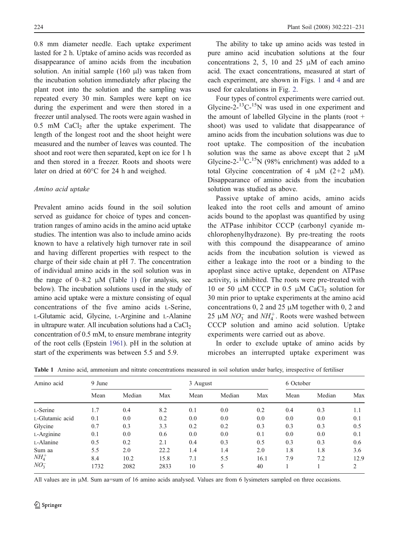<span id="page-3-0"></span>0.8 mm diameter needle. Each uptake experiment lasted for 2 h. Uptake of amino acids was recorded as disappearance of amino acids from the incubation solution. An initial sample (160 μl) was taken from the incubation solution immediately after placing the plant root into the solution and the sampling was repeated every 30 min. Samples were kept on ice during the experiment and were then stored in a freezer until analysed. The roots were again washed in  $0.5$  mM CaCl<sub>2</sub> after the uptake experiment. The length of the longest root and the shoot height were measured and the number of leaves was counted. The shoot and root were then separated, kept on ice for 1 h and then stored in a freezer. Roots and shoots were later on dried at 60°C for 24 h and weighed.

## Amino acid uptake

Prevalent amino acids found in the soil solution served as guidance for choice of types and concentration ranges of amino acids in the amino acid uptake studies. The intention was also to include amino acids known to have a relatively high turnover rate in soil and having different properties with respect to the charge of their side chain at pH 7. The concentration of individual amino acids in the soil solution was in the range of  $0-8.2$   $\mu$ M (Table 1) (for analysis, see below). The incubation solutions used in the study of amino acid uptake were a mixture consisting of equal concentrations of the five amino acids L-Serine, L-Glutamic acid, Glycine, L-Arginine and L-Alanine in ultrapure water. All incubation solutions had a  $CaCl<sub>2</sub>$ concentration of 0.5 mM, to ensure membrane integrity of the root cells (Epstein [1961](#page-9-0)). pH in the solution at start of the experiments was between 5.5 and 5.9.

The ability to take up amino acids was tested in pure amino acid incubation solutions at the four concentrations 2, 5, 10 and 25 μM of each amino acid. The exact concentrations, measured at start of each experiment, are shown in Figs. [1](#page-4-0) and [4](#page-7-0) and are used for calculations in Fig. [2](#page-4-0).

Four types of control experiments were carried out. Glycine-2- $^{13}$ C- $^{15}$ N was used in one experiment and the amount of labelled Glycine in the plants (root + shoot) was used to validate that disappearance of amino acids from the incubation solutions was due to root uptake. The composition of the incubation solution was the same as above except that  $2 \mu M$ Glycine-2-<sup>13</sup>C-<sup>15</sup>N (98% enrichment) was added to a total Glycine concentration of 4  $\mu$ M (2+2  $\mu$ M). Disappearance of amino acids from the incubation solution was studied as above.

Passive uptake of amino acids, amino acids leaked into the root cells and amount of amino acids bound to the apoplast was quantified by using the ATPase inhibitor CCCP (carbonyl cyanide mchlorophenylhydrazone). By pre-treating the roots with this compound the disappearance of amino acids from the incubation solution is viewed as either a leakage into the root or a binding to the apoplast since active uptake, dependent on ATPase activity, is inhibited. The roots were pre-treated with 10 or 50 μM CCCP in 0.5 μM CaCl<sub>2</sub> solution for 30 min prior to uptake experiments at the amino acid concentrations 0, 2 and 25  $\mu$ M together with 0, 2 and 25  $\mu$ M  $NO_3^-$  and  $NH_4^+$ . Roots were washed between CCCP solution and amino acid solution. Uptake experiments were carried out as above.

In order to exclude uptake of amino acids by microbes an interrupted uptake experiment was

| Amino acid      | 9 June |        |      | 3 August |        |      | 6 October |        |                |
|-----------------|--------|--------|------|----------|--------|------|-----------|--------|----------------|
|                 | Mean   | Median | Max  | Mean     | Median | Max  | Mean      | Median | Max            |
| L-Serine        | 1.7    | 0.4    | 8.2  | 0.1      | 0.0    | 0.2  | 0.4       | 0.3    | 1.1            |
| L-Glutamic acid | 0.1    | 0.0    | 0.2  | 0.0      | 0.0    | 0.0  | 0.0       | 0.0    | 0.1            |
| Glycine         | 0.7    | 0.3    | 3.3  | 0.2      | 0.2    | 0.3  | 0.3       | 0.3    | 0.5            |
| L-Arginine      | 0.1    | 0.0    | 0.6  | 0.0      | 0.0    | 0.1  | 0.0       | 0.0    | 0.1            |
| L-Alanine       | 0.5    | 0.2    | 2.1  | 0.4      | 0.3    | 0.5  | 0.3       | 0.3    | 0.6            |
| Sum aa          | 5.5    | 2.0    | 22.2 | 1.4      | 1.4    | 2.0  | 1.8       | 1.8    | 3.6            |
| $NH_4^+$        | 8.4    | 10.2   | 15.8 | 7.1      | 5.5    | 16.1 | 7.9       | 7.2    | 12.9           |
| $NO_3^-$        | 1732   | 2082   | 2833 | 10       | 5      | 40   |           |        | $\overline{c}$ |

Table 1 Amino acid, ammonium and nitrate concentrations measured in soil solution under barley, irrespective of fertiliser

All values are in μM. Sum aa=sum of 16 amino acids analysed. Values are from 6 lysimeters sampled on three occasions.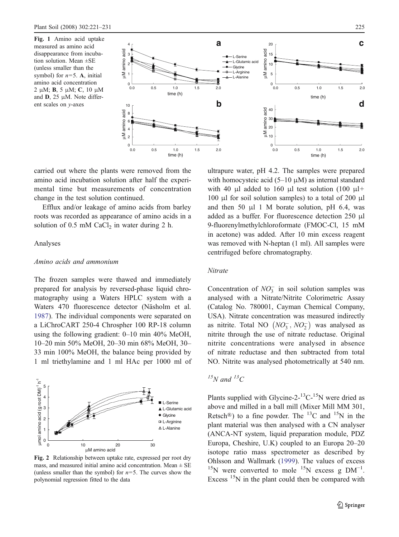<span id="page-4-0"></span>Fig. 1 Amino acid uptake measured as amino acid disappearance from incubation solution. Mean ±SE (unless smaller than the symbol) for  $n=5$ . A, initial amino acid concentration 2 μM; B, 5 μM; C, 10 μM and D, 25 μM. Note different scales on y-axes



carried out where the plants were removed from the amino acid incubation solution after half the experimental time but measurements of concentration change in the test solution continued.

Efflux and/or leakage of amino acids from barley roots was recorded as appearance of amino acids in a solution of 0.5 mM  $CaCl<sub>2</sub>$  in water during 2 h.

# Analyses

# Amino acids and ammonium

The frozen samples were thawed and immediately prepared for analysis by reversed-phase liquid chromatography using a Waters HPLC system with a Waters 470 fluorescence detector (Näsholm et al. [1987](#page-10-0)). The individual components were separated on a LiChroCART 250-4 Chrospher 100 RP-18 column using the following gradient: 0–10 min 40% MeOH, 10–20 min 50% MeOH, 20–30 min 68% MeOH, 30– 33 min 100% MeOH, the balance being provided by 1 ml triethylamine and 1 ml HAc per 1000 ml of



Fig. 2 Relationship between uptake rate, expressed per root dry mass, and measured initial amino acid concentration. Mean  $\pm$  SE (unless smaller than the symbol) for  $n=5$ . The curves show the polynomial regression fitted to the data

ultrapure water, pH 4.2. The samples were prepared with homocysteic acid  $(5-10 \mu M)$  as internal standard with 40 μl added to 160 μl test solution (100 μl+ 100 μl for soil solution samples) to a total of 200 μl and then 50  $\mu$ 1 M borate solution, pH 6.4, was added as a buffer. For fluorescence detection 250 μl 9-fluorenylmethylchloroformate (FMOC-Cl, 15 mM in acetone) was added. After 10 min excess reagent was removed with N-heptan (1 ml). All samples were centrifuged before chromatography.

# Nitrate

Concentration of  $NO_3^-$  in soil solution samples was analysed with a Nitrate/Nitrite Colorimetric Assay (Catalog No. 780001, Cayman Chemical Company, USA). Nitrate concentration was measured indirectly as nitrite. Total NO  $(NO_3^-, NO_2^-)$  was analysed as nitrite through the use of nitrate reductase. Original nitrite concentrations were analysed in absence of nitrate reductase and then subtracted from total NO. Nitrite was analysed photometrically at 540 nm.

# $^{15}N$  and  $^{13}C$

Plants supplied with Glycine-2- $^{13}$ C- $^{15}$ N were dried as above and milled in a ball mill (Mixer Mill MM 301, Retsch<sup>®</sup>) to a fine powder. The <sup>13</sup>C and <sup>15</sup>N in the plant material was then analysed with a CN analyser (ANCA-NT system, liquid preparation module, PDZ Europa, Cheshire, U.K) coupled to an Europa 20–20 isotope ratio mass spectrometer as described by Ohlsson and Wallmark [\(1999](#page-10-0)). The values of excess <sup>15</sup>N were converted to mole <sup>15</sup>N excess g  $DM^{-1}$ . Excess  $15N$  in the plant could then be compared with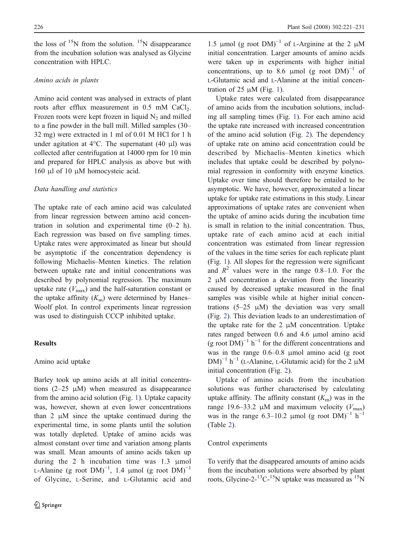the loss of  $15N$  from the solution.  $15N$  disappearance from the incubation solution was analysed as Glycine concentration with HPLC.

#### Amino acids in plants

Amino acid content was analysed in extracts of plant roots after efflux measurement in 0.5 mM CaCl<sub>2</sub>. Frozen roots were kept frozen in liquid  $N_2$  and milled to a fine powder in the ball mill. Milled samples (30– 32 mg) were extracted in 1 ml of 0.01 M HCl for 1 h under agitation at  $4^{\circ}$ C. The supernatant (40 μl) was collected after centrifugation at 14000 rpm for 10 min and prepared for HPLC analysis as above but with 160 μl of 10 μM homocysteic acid.

#### Data handling and statistics

The uptake rate of each amino acid was calculated from linear regression between amino acid concentration in solution and experimental time (0–2 h). Each regression was based on five sampling times. Uptake rates were approximated as linear but should be asymptotic if the concentration dependency is following Michaelis–Menten kinetics. The relation between uptake rate and initial concentrations was described by polynomial regression. The maximum uptake rate  $(V_{\text{max}})$  and the half-saturation constant or the uptake affinity  $(K<sub>m</sub>)$  were determined by Hanes– Woolf plot. In control experiments linear regression was used to distinguish CCCP inhibited uptake.

#### Results

# Amino acid uptake

Barley took up amino acids at all initial concentrations  $(2-25 \mu M)$  when measured as disappearance from the amino acid solution (Fig. [1](#page-4-0)). Uptake capacity was, however, shown at even lower concentrations than 2 μM since the uptake continued during the experimental time, in some plants until the solution was totally depleted. Uptake of amino acids was almost constant over time and variation among plants was small. Mean amounts of amino acids taken up during the 2 h incubation time was 1.3 μmol L-Alanine (g root  $DM)^{-1}$ , 1.4 µmol (g root  $DM)^{-1}$ of Glycine, L-Serine, and L-Glutamic acid and

1.5 μmol (g root  $DM$ )<sup>-1</sup> of L-Arginine at the 2 μM initial concentration. Larger amounts of amino acids were taken up in experiments with higher initial concentrations, up to 8.6 µmol (g root  $DM$ )<sup>-1</sup> of L-Glutamic acid and L-Alanine at the initial concentration of 25  $\mu$ M (Fig. [1](#page-4-0)).

Uptake rates were calculated from disappearance of amino acids from the incubation solutions, including all sampling times (Fig. [1](#page-4-0)). For each amino acid the uptake rate increased with increased concentration of the amino acid solution (Fig. [2](#page-4-0)). The dependency of uptake rate on amino acid concentration could be described by Michaelis–Menten kinetics which includes that uptake could be described by polynomial regression in conformity with enzyme kinetics. Uptake over time should therefore be entailed to be asymptotic. We have, however, approximated a linear uptake for uptake rate estimations in this study. Linear approximations of uptake rates are convenient when the uptake of amino acids during the incubation time is small in relation to the initial concentration. Thus, uptake rate of each amino acid at each initial concentration was estimated from linear regression of the values in the time series for each replicate plant (Fig. [1](#page-4-0)). All slopes for the regression were significant and  $R^2$  values were in the range 0.8–1.0. For the 2 μM concentration a deviation from the linearity caused by decreased uptake measured in the final samples was visible while at higher initial concentrations  $(5-25 \mu M)$  the deviation was very small (Fig. [2](#page-4-0)). This deviation leads to an underestimation of the uptake rate for the  $2 \mu M$  concentration. Uptake rates ranged between 0.6 and 4.6 μmol amino acid (g root  $DM$ )<sup>-1</sup> h<sup>-1</sup> for the different concentrations and was in the range 0.6–0.8 μmol amino acid (g root  $DM)^{-1}$  h<sup>-1</sup> (L-Alanine, L-Glutamic acid) for the 2  $\mu$ M initial concentration (Fig. [2](#page-4-0)).

Uptake of amino acids from the incubation solutions was further characterised by calculating uptake affinity. The affinity constant  $(K<sub>m</sub>)$  was in the range 19.6–33.2 μM and maximum velocity ( $V_{\text{max}}$ ) was in the range 6.3–10.2 µmol (g root  $DM$ )<sup>-1</sup> h<sup>-1</sup> (Table [2](#page-6-0)).

# Control experiments

To verify that the disappeared amounts of amino acids from the incubation solutions were absorbed by plant roots, Glycine-2- $^{13}$ C- $^{15}$ N uptake was measured as  $^{15}$ N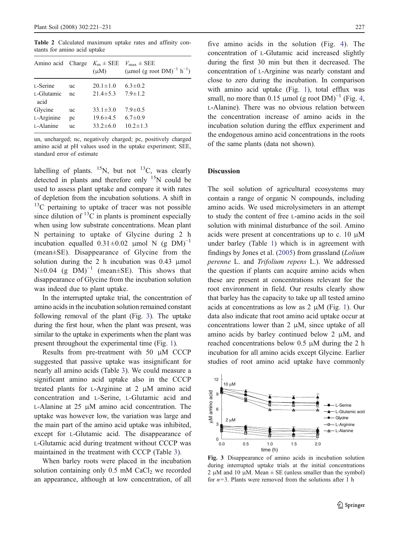<span id="page-6-0"></span>Table 2 Calculated maximum uptake rates and affinity constants for amino acid uptake

| Amino acid Charge $K_m \pm \text{SEE}$ $V_{\text{max}} \pm \text{SEE}$ |                 | $(\mu M)$                        | (µmol (g root $DM)^{-1}$ h <sup>-1</sup> ) |
|------------------------------------------------------------------------|-----------------|----------------------------------|--------------------------------------------|
| L-Serine                                                               | <b>uc</b>       | $20.1 \pm 1.0$                   | $6.3 \pm 0.2$                              |
| L-Glutamic<br>acid                                                     | nc              | $21.4 \pm 5.3$                   | $7.9 \pm 1.2$                              |
| Glycine                                                                | <b>uc</b>       | $33.1 \pm 3.0$                   | $7.9 \pm 0.5$                              |
| L-Arginine<br>L-Alanine                                                | pc<br><b>uc</b> | $19.6 \pm 4.5$<br>$33.2 \pm 6.0$ | $6.7 \pm 0.9$<br>$10.2 \pm 1.3$            |

un, uncharged; nc, negatively charged; pc, positively charged amino acid at pH values used in the uptake experiment; SEE, standard error of estimate

labelling of plants.  ${}^{15}N$ , but not  ${}^{13}C$ , was clearly detected in plants and therefore only  $15N$  could be used to assess plant uptake and compare it with rates of depletion from the incubation solutions. A shift in  $13^{\circ}$ C pertaining to uptake of tracer was not possible since dilution of  ${}^{13}C$  in plants is prominent especially when using low substrate concentrations. Mean plant N pertaining to uptake of Glycine during 2 h incubation equalled  $0.31 \pm 0.02$  µmol N (g DM)<sup>-1</sup> (mean±SE). Disappearance of Glycine from the solution during the 2 h incubation was 0.43 μmol N±0.04 (g DM)<sup>-1</sup> (mean±SE). This shows that disappearance of Glycine from the incubation solution was indeed due to plant uptake.

In the interrupted uptake trial, the concentration of amino acids in the incubation solution remained constant following removal of the plant (Fig. 3). The uptake during the first hour, when the plant was present, was similar to the uptake in experiments when the plant was present throughout the experimental time (Fig. [1](#page-4-0)).

Results from pre-treatment with 50  $\mu$ M CCCP suggested that passive uptake was insignificant for nearly all amino acids (Table [3](#page-7-0)). We could measure a significant amino acid uptake also in the CCCP treated plants for L-Arginine at 2 μM amino acid concentration and L-Serine, L-Glutamic acid and L-Alanine at 25 μM amino acid concentration. The uptake was however low, the variation was large and the main part of the amino acid uptake was inhibited, except for L-Glutamic acid. The disappearance of L-Glutamic acid during treatment without CCCP was maintained in the treatment with CCCP (Table [3](#page-7-0)).

When barley roots were placed in the incubation solution containing only  $0.5$  mM CaCl<sub>2</sub> we recorded an appearance, although at low concentration, of all five amino acids in the solution (Fig. [4](#page-7-0)). The concentration of L-Glutamic acid increased slightly during the first 30 min but then it decreased. The concentration of L-Arginine was nearly constant and close to zero during the incubation. In comparison with amino acid uptake (Fig. [1](#page-4-0)), total efflux was small, no more than 0.15 µmol (g root  $DM$ )<sup>-1</sup> (Fig. [4](#page-7-0), L-Alanine). There was no obvious relation between the concentration increase of amino acids in the incubation solution during the efflux experiment and the endogenous amino acid concentrations in the roots of the same plants (data not shown).

# **Discussion**

The soil solution of agricultural ecosystems may contain a range of organic N compounds, including amino acids. We used microlysimeters in an attempt to study the content of free L-amino acids in the soil solution with minimal disturbance of the soil. Amino acids were present at concentrations up to c. 10 μM under barley (Table [1](#page-3-0)) which is in agreement with findings by Jones et al. [\(2005](#page-9-0)) from grassland (Lolium perenne L. and Trifolium repens L.). We addressed the question if plants can acquire amino acids when these are present at concentrations relevant for the root environment in field. Our results clearly show that barley has the capacity to take up all tested amino acids at concentrations as low as 2 μM (Fig. [1](#page-4-0)). Our data also indicate that root amino acid uptake occur at concentrations lower than  $2 \mu M$ , since uptake of all amino acids by barley continued below 2 μM, and reached concentrations below 0.5 μM during the 2 h incubation for all amino acids except Glycine. Earlier studies of root amino acid uptake have commonly



Fig. 3 Disappearance of amino acids in incubation solution during interrupted uptake trials at the initial concentrations 2 μM and 10 μM. Mean  $\pm$  SE (unless smaller than the symbol) for  $n=3$ . Plants were removed from the solutions after 1 h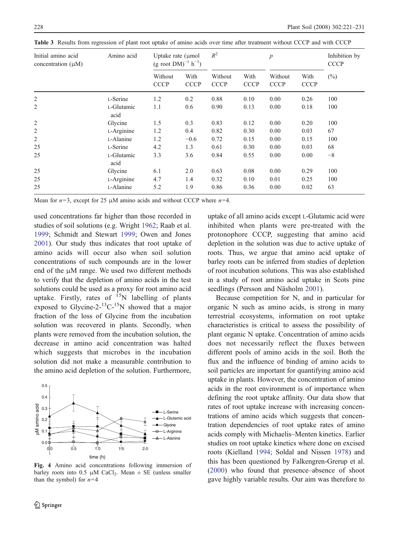| Initial amino acid<br>concentration $(\mu M)$ | Amino acid         | Uptake rate $(\mu$ mol<br>$(g \text{ root } DM)^{-1} h^{-1}$ |                     | $R^2$                  |                     | $\boldsymbol{p}$       |                     | Inhibition by<br><b>CCCP</b> |
|-----------------------------------------------|--------------------|--------------------------------------------------------------|---------------------|------------------------|---------------------|------------------------|---------------------|------------------------------|
|                                               |                    | Without<br><b>CCCP</b>                                       | With<br><b>CCCP</b> | Without<br><b>CCCP</b> | With<br><b>CCCP</b> | Without<br><b>CCCP</b> | With<br><b>CCCP</b> | $(\%)$                       |
| 2                                             | L-Serine           | 1.2                                                          | 0.2                 | 0.88                   | 0.10                | 0.00                   | 0.26                | 100                          |
| 2                                             | L-Glutamic<br>acid | 1.1                                                          | 0.6                 | 0.90                   | 0.13                | 0.00                   | 0.18                | 100                          |
| $\overline{2}$                                | Glycine            | 1.5                                                          | 0.3                 | 0.83                   | 0.12                | 0.00                   | 0.20                | 100                          |
| 2                                             | L-Arginine         | 1.2                                                          | 0.4                 | 0.82                   | 0.30                | 0.00                   | 0.03                | 67                           |
| $\overline{2}$                                | L-Alanine          | 1.2                                                          | $-0.6$              | 0.72                   | 0.15                | 0.00                   | 0.15                | 100                          |
| 25                                            | L-Serine           | 4.2                                                          | 1.3                 | 0.61                   | 0.30                | 0.00                   | 0.03                | 68                           |
| 25                                            | L-Glutamic<br>acid | 3.3                                                          | 3.6                 | 0.84                   | 0.55                | 0.00                   | 0.00                | $-8$                         |
| 25                                            | Glycine            | 6.1                                                          | 2.0                 | 0.63                   | 0.08                | 0.00                   | 0.29                | 100                          |
| 25                                            | L-Arginine         | 4.7                                                          | 1.4                 | 0.32                   | 0.10                | 0.01                   | 0.25                | 100                          |
| 25                                            | L-Alanine          | 5.2                                                          | 1.9                 | 0.86                   | 0.36                | 0.00                   | 0.02                | 63                           |

<span id="page-7-0"></span>Table 3 Results from regression of plant root uptake of amino acids over time after treatment without CCCP and with CCCP

Mean for  $n=3$ , except for 25 μM amino acids and without CCCP where  $n=4$ .

used concentrations far higher than those recorded in studies of soil solutions (e.g. Wright [1962](#page-10-0); Raab et al. [1999](#page-10-0); Schmidt and Stewart [1999](#page-10-0); Owen and Jones [2001](#page-10-0)). Our study thus indicates that root uptake of amino acids will occur also when soil solution concentrations of such compounds are in the lower end of the μM range. We used two different methods to verify that the depletion of amino acids in the test solutions could be used as a proxy for root amino acid uptake. Firstly, rates of  $15N$  labelling of plants exposed to Glycine-2- $^{13}$ C- $^{15}$ N showed that a major fraction of the loss of Glycine from the incubation solution was recovered in plants. Secondly, when plants were removed from the incubation solution, the decrease in amino acid concentration was halted which suggests that microbes in the incubation solution did not make a measurable contribution to the amino acid depletion of the solution. Furthermore,



Fig. 4 Amino acid concentrations following immersion of barley roots into 0.5  $\mu$ M CaCl<sub>2</sub>. Mean  $\pm$  SE (unless smaller than the symbol) for  $n=4$ 

uptake of all amino acids except L-Glutamic acid were inhibited when plants were pre-treated with the protonophore CCCP, suggesting that amino acid depletion in the solution was due to active uptake of roots. Thus, we argue that amino acid uptake of barley roots can be inferred from studies of depletion of root incubation solutions. This was also established in a study of root amino acid uptake in Scots pine seedlings (Persson and Näsholm [2001](#page-10-0)).

Because competition for N, and in particular for organic N such as amino acids, is strong in many terrestrial ecosystems, information on root uptake characteristics is critical to assess the possibility of plant organic N uptake. Concentration of amino acids does not necessarily reflect the fluxes between different pools of amino acids in the soil. Both the flux and the influence of binding of amino acids to soil particles are important for quantifying amino acid uptake in plants. However, the concentration of amino acids in the root environment is of importance when defining the root uptake affinity. Our data show that rates of root uptake increase with increasing concentrations of amino acids which suggests that concentration dependencies of root uptake rates of amino acids comply with Michaelis–Menten kinetics. Earlier studies on root uptake kinetics where done on excised roots (Kielland [1994](#page-9-0); Soldal and Nissen [1978](#page-10-0)) and this has been questioned by Falkengren-Grerup et al. [\(2000](#page-9-0)) who found that presence–absence of shoot gave highly variable results. Our aim was therefore to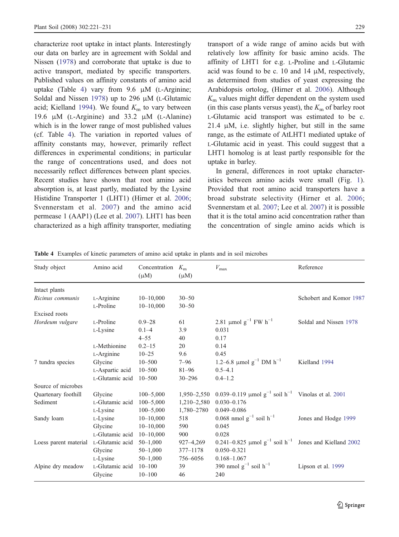<span id="page-8-0"></span>characterize root uptake in intact plants. Interestingly our data on barley are in agreement with Soldal and Nissen [\(1978](#page-10-0)) and corroborate that uptake is due to active transport, mediated by specific transporters. Published values on affinity constants of amino acid uptake (Table 4) vary from 9.6 μM (L-Arginine; Soldal and Nissen [1978](#page-10-0)) up to 296 μM (L-Glutamic acid; Kielland [1994](#page-9-0)). We found  $K<sub>m</sub>$  to vary between 19.6 μM (L-Arginine) and 33.2 μM (L-Alanine) which is in the lower range of most published values (cf. Table 4). The variation in reported values of affinity constants may, however, primarily reflect differences in experimental conditions; in particular the range of concentrations used, and does not necessarily reflect differences between plant species. Recent studies have shown that root amino acid absorption is, at least partly, mediated by the Lysine Histidine Transporter 1 (LHT1) (Hirner et al. [2006](#page-9-0); Svennerstam et al. [2007](#page-10-0)) and the amino acid permease 1 (AAP1) (Lee et al. [2007](#page-9-0)). LHT1 has been characterized as a high affinity transporter, mediating

transport of a wide range of amino acids but with relatively low affinity for basic amino acids. The affinity of LHT1 for e.g. L-Proline and L-Glutamic acid was found to be c. 10 and 14 μM, respectively, as determined from studies of yeast expressing the Arabidopsis ortolog, (Hirner et al. [2006](#page-9-0)). Although  $K<sub>m</sub>$  values might differ dependent on the system used (in this case plants versus yeast), the  $K<sub>m</sub>$  of barley root L-Glutamic acid transport was estimated to be c. 21.4  $\mu$ M, i.e. slightly higher, but still in the same range, as the estimate of AtLHT1 mediated uptake of L-Glutamic acid in yeast. This could suggest that a LHT1 homolog is at least partly responsible for the uptake in barley.

In general, differences in root uptake characteristics between amino acids were small (Fig. [1](#page-4-0)). Provided that root amino acid transporters have a broad substrate selectivity (Hirner et al. [2006](#page-9-0); Svennerstam et al. [2007](#page-10-0); Lee et al. [2007](#page-9-0)) it is possible that it is the total amino acid concentration rather than the concentration of single amino acids which is

| Study object          | Amino acid      | Concentration<br>$(\mu M)$ | $K_{\rm m}$<br>$(\mu M)$ | $V_{\rm max}$                                                        | Reference               |
|-----------------------|-----------------|----------------------------|--------------------------|----------------------------------------------------------------------|-------------------------|
| Intact plants         |                 |                            |                          |                                                                      |                         |
| Ricinus communis      | L-Arginine      | $10 - 10,000$              | $30 - 50$                |                                                                      | Schobert and Komor 1987 |
|                       | L-Proline       | $10 - 10,000$              | $30 - 50$                |                                                                      |                         |
| <b>Excised</b> roots  |                 |                            |                          |                                                                      |                         |
| Hordeum vulgare       | L-Proline       | $0.9 - 28$                 | 61                       | 2.81 µmol $g^{-1}$ FW $h^{-1}$                                       | Soldal and Nissen 1978  |
|                       | L-Lysine        | $0.1 - 4$                  | 3.9                      | 0.031                                                                |                         |
|                       |                 | $4 - 55$                   | 40                       | 0.17                                                                 |                         |
|                       | L-Methionine    | $0.2 - 15$                 | 20                       | 0.14                                                                 |                         |
|                       | L-Arginine      | $10 - 25$                  | 9.6                      | 0.45                                                                 |                         |
| 7 tundra species      | Glycine         | $10 - 500$                 | $7 - 96$                 | 1.2–6.8 µmol $g^{-1}$ DM $h^{-1}$                                    | Kielland 1994           |
|                       | L-Aspartic acid | $10 - 500$                 | $81 - 96$                | $0.5 - 4.1$                                                          |                         |
|                       | L-Glutamic acid | $10 - 500$                 | $30 - 296$               | $0.4 - 1.2$                                                          |                         |
| Source of microbes    |                 |                            |                          |                                                                      |                         |
| Quartenary foothill   | Glycine         | $100 - 5,000$              | $1,950 - 2,550$          | 0.039–0.119 $\mu$ mol $g^{-1}$ soil $h^{-1}$ Vinolas et al. 2001     |                         |
| Sediment              | L-Glutamic acid | $100 - 5,000$              | $1,210 - 2,580$          | $0.030 - 0.176$                                                      |                         |
|                       | L-Lysine        | $100 - 5,000$              | 1,780-2780               | $0.049 - 0.086$                                                      |                         |
| Sandy loam            | L-Lysine        | $10 - 10,000$              | 518                      | 0.068 nmol $g^{-1}$ soil $h^{-1}$                                    | Jones and Hodge 1999    |
|                       | Glycine         | $10 - 10,000$              | 590                      | 0.045                                                                |                         |
|                       | L-Glutamic acid | $10 - 10,000$              | 900                      | 0.028                                                                |                         |
| Loess parent material | L-Glutamic acid | $50 - 1,000$               | $927 - 4,269$            | 0.241–0.825 $\mu$ mol $g^{-1}$ soil $h^{-1}$ Jones and Kielland 2002 |                         |
|                       | Glycine         | $50 - 1,000$               | 377-1178                 | $0.050 - 0.321$                                                      |                         |
|                       | L-Lysine        | $50 - 1,000$               | 756-6056                 | $0.168 - 1.067$                                                      |                         |
| Alpine dry meadow     | L-Glutamic acid | $10 - 100$                 | 39                       | 390 nmol $g^{-1}$ soil $h^{-1}$                                      | Lipson et al. 1999      |
|                       | Glycine         | $10 - 100$                 | 46                       | 240                                                                  |                         |

Table 4 Examples of kinetic parameters of amino acid uptake in plants and in soil microbes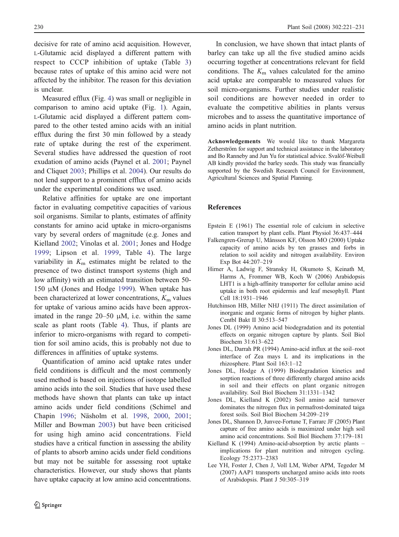<span id="page-9-0"></span>decisive for rate of amino acid acquisition. However, L-Glutamic acid displayed a different pattern with respect to CCCP inhibition of uptake (Table [3](#page-7-0)) because rates of uptake of this amino acid were not affected by the inhibitor. The reason for this deviation is unclear.

Measured efflux (Fig. [4](#page-7-0)) was small or negligible in comparison to amino acid uptake (Fig. [1](#page-4-0)). Again, L-Glutamic acid displayed a different pattern compared to the other tested amino acids with an initial efflux during the first 30 min followed by a steady rate of uptake during the rest of the experiment. Several studies have addressed the question of root exudation of amino acids (Paynel et al. [2001](#page-10-0); Paynel and Cliquet [2003](#page-10-0); Phillips et al. [2004](#page-10-0)). Our results do not lend support to a prominent efflux of amino acids under the experimental conditions we used.

Relative affinities for uptake are one important factor in evaluating competitive capacities of various soil organisms. Similar to plants, estimates of affinity constants for amino acid uptake in micro-organisms vary by several orders of magnitude (e.g. Jones and Kielland 2002; Vinolas et al. [2001](#page-10-0); Jones and Hodge 1999; Lipson et al. [1999](#page-10-0), Table [4](#page-8-0)). The large variability in  $K<sub>m</sub>$  estimates might be related to the presence of two distinct transport systems (high and low affinity) with an estimated transition between 50- 150 μM (Jones and Hodge 1999). When uptake has been characterized at lower concentrations,  $K<sub>m</sub>$  values for uptake of various amino acids have been approximated in the range 20–50 μM, i.e. within the same scale as plant roots (Table [4](#page-8-0)). Thus, if plants are inferior to micro-organisms with regard to competition for soil amino acids, this is probably not due to differences in affinities of uptake systems.

Quantification of amino acid uptake rates under field conditions is difficult and the most commonly used method is based on injections of isotope labelled amino acids into the soil. Studies that have used these methods have shown that plants can take up intact amino acids under field conditions (Schimel and Chapin [1996](#page-10-0); Näsholm et al. [1998](#page-10-0), [2000](#page-10-0), [2001](#page-10-0); Miller and Bowman [2003](#page-10-0)) but have been criticised for using high amino acid concentrations. Field studies have a critical function in assessing the ability of plants to absorb amino acids under field conditions but may not be suitable for assessing root uptake characteristics. However, our study shows that plants have uptake capacity at low amino acid concentrations.

In conclusion, we have shown that intact plants of barley can take up all the five studied amino acids occurring together at concentrations relevant for field conditions. The  $K<sub>m</sub>$  values calculated for the amino acid uptake are comparable to measured values for soil micro-organisms. Further studies under realistic soil conditions are however needed in order to evaluate the competitive abilities in plants versus microbes and to assess the quantitative importance of amino acids in plant nutrition.

Acknowledgements We would like to thank Margareta Zetherström for support and technical assistance in the laboratory and Bo Ranneby and Jun Yu for statistical advice. Svalöf-Weibull AB kindly provided the barley seeds. This study was financially supported by the Swedish Research Council for Environment, Agricultural Sciences and Spatial Planning.

#### References

- Epstein E (1961) The essential role of calcium in selective cation transport by plant cells. Plant Physiol 36:437–444
- Falkengren-Grerup U, Månsson KF, Olsson MO (2000) Uptake capacity of amino acids by ten grasses and forbs in relation to soil acidity and nitrogen availability. Environ Exp Bot 44:207–219
- Hirner A, Ladwig F, Stransky H, Okumoto S, Keinath M, Harms A, Frommer WB, Koch W (2006) Arabidopsis LHT1 is a high-affinity transporter for cellular amino acid uptake in both root epidermis and leaf mesophyll. Plant Cell 18:1931–1946
- Hutchinson HB, Miller NHJ (1911) The direct assimilation of inorganic and organic forms of nitrogen by higher plants. Centbl Bakt II 30:513–547
- Jones DL (1999) Amino acid biodegradation and its potential effects on organic nitrogen capture by plants. Soil Biol Biochem 31:613–622
- Jones DL, Darrah PR (1994) Amino-acid influx at the soil–root interface of Zea mays L and its implications in the rhizosphere. Plant Soil 163:1–12
- Jones DL, Hodge A (1999) Biodegradation kinetics and sorption reactions of three differently charged amino acids in soil and their effects on plant organic nitrogen availability. Soil Biol Biochem 31:1331–1342
- Jones DL, Kielland K (2002) Soil amino acid turnover dominates the nitrogen flux in permafrost-dominated taiga forest soils. Soil Biol Biochem 34:209–219
- Jones DL, Shannon D, Junvee-Fortune T, Farrarc JF (2005) Plant capture of free amino acids is maximized under high soil amino acid concentrations. Soil Biol Biochem 37:179–181
- Kielland K (1994) Amino-acid-absorption by arctic plants implications for plant nutrition and nitrogen cycling. Ecology 75:2373–2383
- Lee YH, Foster J, Chen J, Voll LM, Weber APM, Tegeder M (2007) AAP1 transports uncharged amino acids into roots of Arabidopsis. Plant J 50:305–319